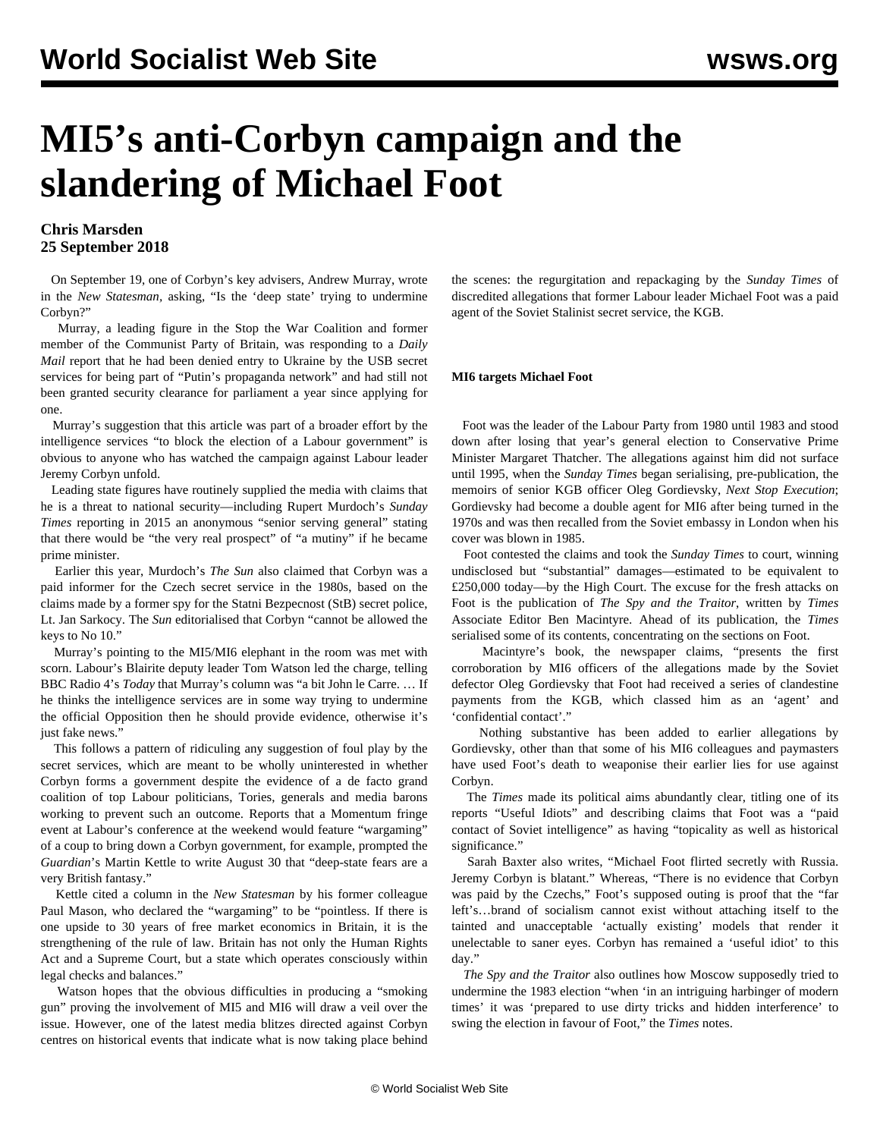# **MI5's anti-Corbyn campaign and the slandering of Michael Foot**

### **Chris Marsden 25 September 2018**

 On September 19, one of Corbyn's key advisers, Andrew Murray, wrote in the *New Statesman,* asking, "Is the 'deep state' trying to undermine Corbyn?"

 Murray, a leading figure in the Stop the War Coalition and former member of the Communist Party of Britain, was responding to a *Daily Mail* report that he had been denied entry to Ukraine by the USB secret services for being part of "Putin's propaganda network" and had still not been granted security clearance for parliament a year since applying for one.

 Murray's suggestion that this article was part of a broader effort by the intelligence services "to block the election of a Labour government" is obvious to anyone who has watched the campaign against Labour leader Jeremy Corbyn unfold.

 Leading state figures have routinely supplied the media with claims that he is a threat to national security—including Rupert Murdoch's *Sunday Times* reporting in 2015 an anonymous "senior serving general" stating that there would be "the very real prospect" of "a mutiny" if he became prime minister.

 Earlier this year, Murdoch's *The Sun* also claimed that Corbyn was a paid informer for the Czech secret service in the 1980s, based on the claims made by a former spy for the Statni Bezpecnost (StB) secret police, Lt. Jan Sarkocy. The *Sun* editorialised that Corbyn "cannot be allowed the keys to No 10."

 Murray's pointing to the MI5/MI6 elephant in the room was met with scorn. Labour's Blairite deputy leader Tom Watson led the charge, telling BBC Radio 4's *Today* that Murray's column was "a bit John le Carre. … If he thinks the intelligence services are in some way trying to undermine the official Opposition then he should provide evidence, otherwise it's just fake news."

 This follows a pattern of ridiculing any suggestion of foul play by the secret services, which are meant to be wholly uninterested in whether Corbyn forms a government despite the evidence of a de facto grand coalition of top Labour politicians, Tories, generals and media barons working to prevent such an outcome. Reports that a Momentum fringe event at Labour's conference at the weekend would feature "wargaming" of a coup to bring down a Corbyn government, for example, prompted the *Guardian*'s Martin Kettle to write August 30 that "deep-state fears are a very British fantasy."

 Kettle cited a column in the *New Statesman* by his former colleague Paul Mason, who declared the "wargaming" to be "pointless. If there is one upside to 30 years of free market economics in Britain, it is the strengthening of the rule of law. Britain has not only the Human Rights Act and a Supreme Court, but a state which operates consciously within legal checks and balances."

 Watson hopes that the obvious difficulties in producing a "smoking gun" proving the involvement of MI5 and MI6 will draw a veil over the issue. However, one of the latest media blitzes directed against Corbyn centres on historical events that indicate what is now taking place behind the scenes: the regurgitation and repackaging by the *Sunday Times* of discredited allegations that former Labour leader Michael Foot was a paid agent of the Soviet Stalinist secret service, the KGB.

#### **MI6 targets Michael Foot**

 Foot was the leader of the Labour Party from 1980 until 1983 and stood down after losing that year's general election to Conservative Prime Minister Margaret Thatcher. The allegations against him did not surface until 1995, when the *Sunday Times* began serialising, pre-publication, the memoirs of senior KGB officer Oleg Gordievsky, *Next Stop Execution*; Gordievsky had become a double agent for MI6 after being turned in the 1970s and was then recalled from the Soviet embassy in London when his cover was blown in 1985.

 Foot contested the claims and took the *Sunday Times* to court, winning undisclosed but "substantial" damages—estimated to be equivalent to £250,000 today—by the High Court. The excuse for the fresh attacks on Foot is the publication of *The Spy and the Traitor*, written by *Times* Associate Editor Ben Macintyre. Ahead of its publication, the *Times* serialised some of its contents, concentrating on the sections on Foot.

 Macintyre's book, the newspaper claims, "presents the first corroboration by MI6 officers of the allegations made by the Soviet defector Oleg Gordievsky that Foot had received a series of clandestine payments from the KGB, which classed him as an 'agent' and 'confidential contact'."

 Nothing substantive has been added to earlier allegations by Gordievsky, other than that some of his MI6 colleagues and paymasters have used Foot's death to weaponise their earlier lies for use against Corbyn.

 The *Times* made its political aims abundantly clear, titling one of its reports "Useful Idiots" and describing claims that Foot was a "paid contact of Soviet intelligence" as having "topicality as well as historical significance."

 Sarah Baxter also writes, "Michael Foot flirted secretly with Russia. Jeremy Corbyn is blatant." Whereas, "There is no evidence that Corbyn was paid by the Czechs," Foot's supposed outing is proof that the "far left's…brand of socialism cannot exist without attaching itself to the tainted and unacceptable 'actually existing' models that render it unelectable to saner eyes. Corbyn has remained a 'useful idiot' to this day."

 *The Spy and the Traitor* also outlines how Moscow supposedly tried to undermine the 1983 election "when 'in an intriguing harbinger of modern times' it was 'prepared to use dirty tricks and hidden interference' to swing the election in favour of Foot," the *Times* notes.